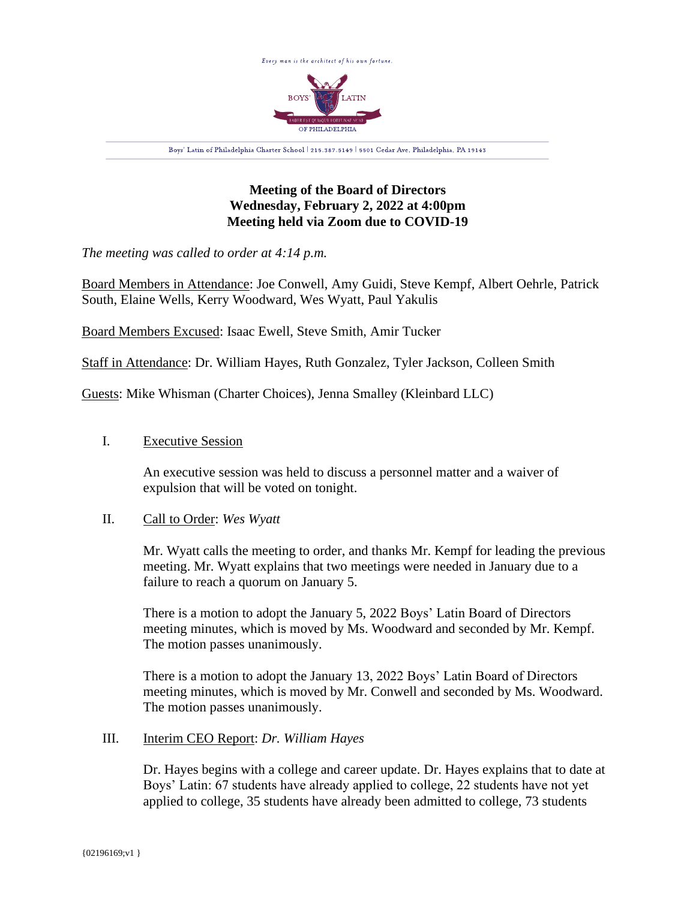

# **Meeting of the Board of Directors Wednesday, February 2, 2022 at 4:00pm Meeting held via Zoom due to COVID-19**

*The meeting was called to order at 4:14 p.m.*

Board Members in Attendance: Joe Conwell, Amy Guidi, Steve Kempf, Albert Oehrle, Patrick South, Elaine Wells, Kerry Woodward, Wes Wyatt, Paul Yakulis

Board Members Excused: Isaac Ewell, Steve Smith, Amir Tucker

Staff in Attendance: Dr. William Hayes, Ruth Gonzalez, Tyler Jackson, Colleen Smith

Guests: Mike Whisman (Charter Choices), Jenna Smalley (Kleinbard LLC)

## I. Executive Session

An executive session was held to discuss a personnel matter and a waiver of expulsion that will be voted on tonight.

### II. Call to Order: *Wes Wyatt*

Mr. Wyatt calls the meeting to order, and thanks Mr. Kempf for leading the previous meeting. Mr. Wyatt explains that two meetings were needed in January due to a failure to reach a quorum on January 5.

There is a motion to adopt the January 5, 2022 Boys' Latin Board of Directors meeting minutes, which is moved by Ms. Woodward and seconded by Mr. Kempf. The motion passes unanimously.

There is a motion to adopt the January 13, 2022 Boys' Latin Board of Directors meeting minutes, which is moved by Mr. Conwell and seconded by Ms. Woodward. The motion passes unanimously.

### III. Interim CEO Report: *Dr. William Hayes*

Dr. Hayes begins with a college and career update. Dr. Hayes explains that to date at Boys' Latin: 67 students have already applied to college, 22 students have not yet applied to college, 35 students have already been admitted to college, 73 students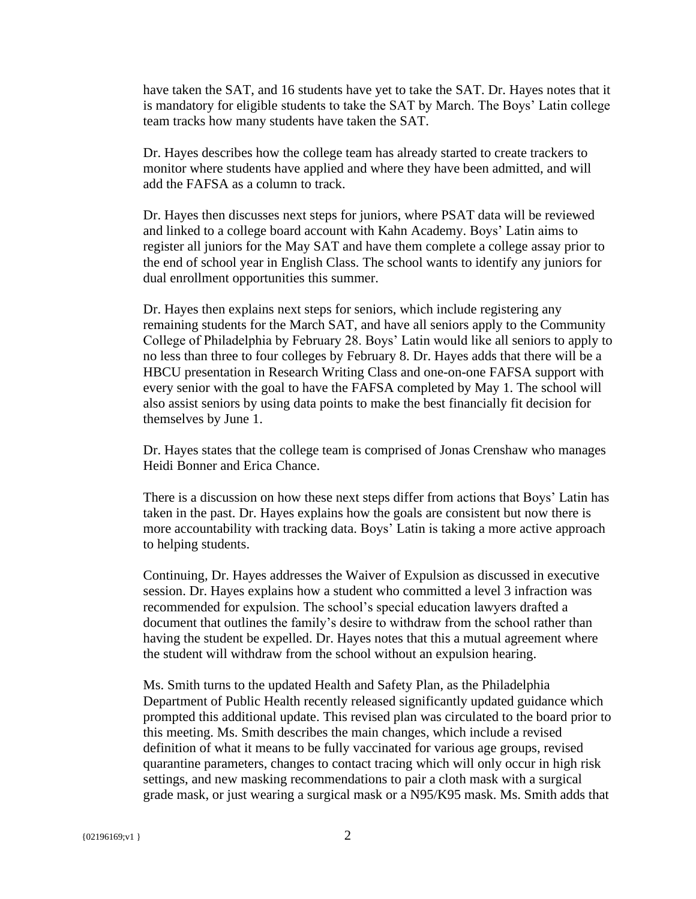have taken the SAT, and 16 students have yet to take the SAT. Dr. Hayes notes that it is mandatory for eligible students to take the SAT by March. The Boys' Latin college team tracks how many students have taken the SAT.

Dr. Hayes describes how the college team has already started to create trackers to monitor where students have applied and where they have been admitted, and will add the FAFSA as a column to track.

Dr. Hayes then discusses next steps for juniors, where PSAT data will be reviewed and linked to a college board account with Kahn Academy. Boys' Latin aims to register all juniors for the May SAT and have them complete a college assay prior to the end of school year in English Class. The school wants to identify any juniors for dual enrollment opportunities this summer.

Dr. Hayes then explains next steps for seniors, which include registering any remaining students for the March SAT, and have all seniors apply to the Community College of Philadelphia by February 28. Boys' Latin would like all seniors to apply to no less than three to four colleges by February 8. Dr. Hayes adds that there will be a HBCU presentation in Research Writing Class and one-on-one FAFSA support with every senior with the goal to have the FAFSA completed by May 1. The school will also assist seniors by using data points to make the best financially fit decision for themselves by June 1.

Dr. Hayes states that the college team is comprised of Jonas Crenshaw who manages Heidi Bonner and Erica Chance.

There is a discussion on how these next steps differ from actions that Boys' Latin has taken in the past. Dr. Hayes explains how the goals are consistent but now there is more accountability with tracking data. Boys' Latin is taking a more active approach to helping students.

Continuing, Dr. Hayes addresses the Waiver of Expulsion as discussed in executive session. Dr. Hayes explains how a student who committed a level 3 infraction was recommended for expulsion. The school's special education lawyers drafted a document that outlines the family's desire to withdraw from the school rather than having the student be expelled. Dr. Hayes notes that this a mutual agreement where the student will withdraw from the school without an expulsion hearing.

Ms. Smith turns to the updated Health and Safety Plan, as the Philadelphia Department of Public Health recently released significantly updated guidance which prompted this additional update. This revised plan was circulated to the board prior to this meeting. Ms. Smith describes the main changes, which include a revised definition of what it means to be fully vaccinated for various age groups, revised quarantine parameters, changes to contact tracing which will only occur in high risk settings, and new masking recommendations to pair a cloth mask with a surgical grade mask, or just wearing a surgical mask or a N95/K95 mask. Ms. Smith adds that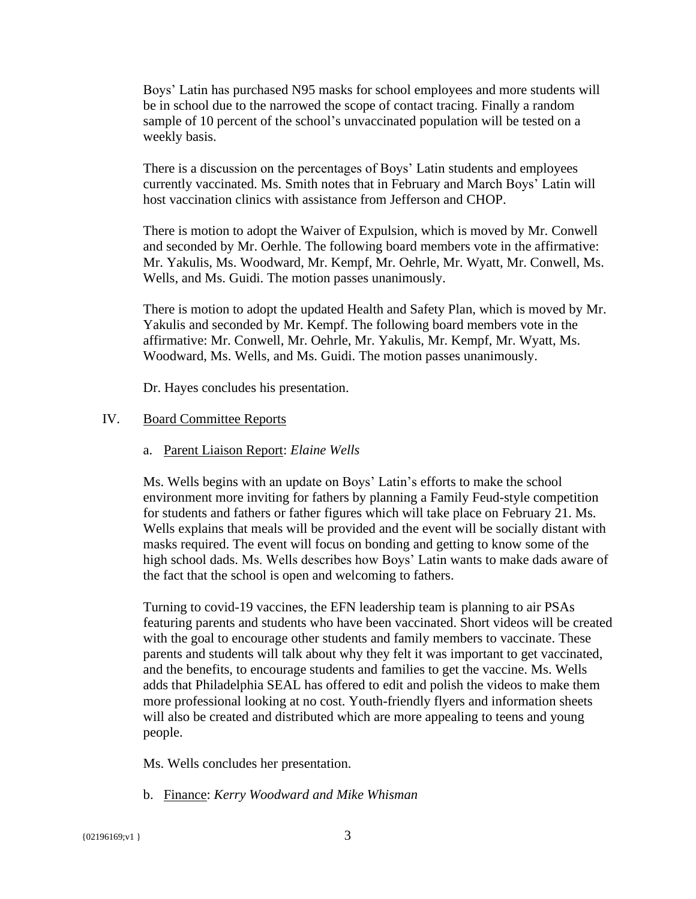Boys' Latin has purchased N95 masks for school employees and more students will be in school due to the narrowed the scope of contact tracing. Finally a random sample of 10 percent of the school's unvaccinated population will be tested on a weekly basis.

There is a discussion on the percentages of Boys' Latin students and employees currently vaccinated. Ms. Smith notes that in February and March Boys' Latin will host vaccination clinics with assistance from Jefferson and CHOP.

There is motion to adopt the Waiver of Expulsion, which is moved by Mr. Conwell and seconded by Mr. Oerhle. The following board members vote in the affirmative: Mr. Yakulis, Ms. Woodward, Mr. Kempf, Mr. Oehrle, Mr. Wyatt, Mr. Conwell, Ms. Wells, and Ms. Guidi. The motion passes unanimously.

There is motion to adopt the updated Health and Safety Plan, which is moved by Mr. Yakulis and seconded by Mr. Kempf. The following board members vote in the affirmative: Mr. Conwell, Mr. Oehrle, Mr. Yakulis, Mr. Kempf, Mr. Wyatt, Ms. Woodward, Ms. Wells, and Ms. Guidi. The motion passes unanimously.

Dr. Hayes concludes his presentation.

### IV. Board Committee Reports

a. Parent Liaison Report: *Elaine Wells*

Ms. Wells begins with an update on Boys' Latin's efforts to make the school environment more inviting for fathers by planning a Family Feud-style competition for students and fathers or father figures which will take place on February 21. Ms. Wells explains that meals will be provided and the event will be socially distant with masks required. The event will focus on bonding and getting to know some of the high school dads. Ms. Wells describes how Boys' Latin wants to make dads aware of the fact that the school is open and welcoming to fathers.

Turning to covid-19 vaccines, the EFN leadership team is planning to air PSAs featuring parents and students who have been vaccinated. Short videos will be created with the goal to encourage other students and family members to vaccinate. These parents and students will talk about why they felt it was important to get vaccinated, and the benefits, to encourage students and families to get the vaccine. Ms. Wells adds that Philadelphia SEAL has offered to edit and polish the videos to make them more professional looking at no cost. Youth-friendly flyers and information sheets will also be created and distributed which are more appealing to teens and young people.

Ms. Wells concludes her presentation.

b. Finance: *Kerry Woodward and Mike Whisman*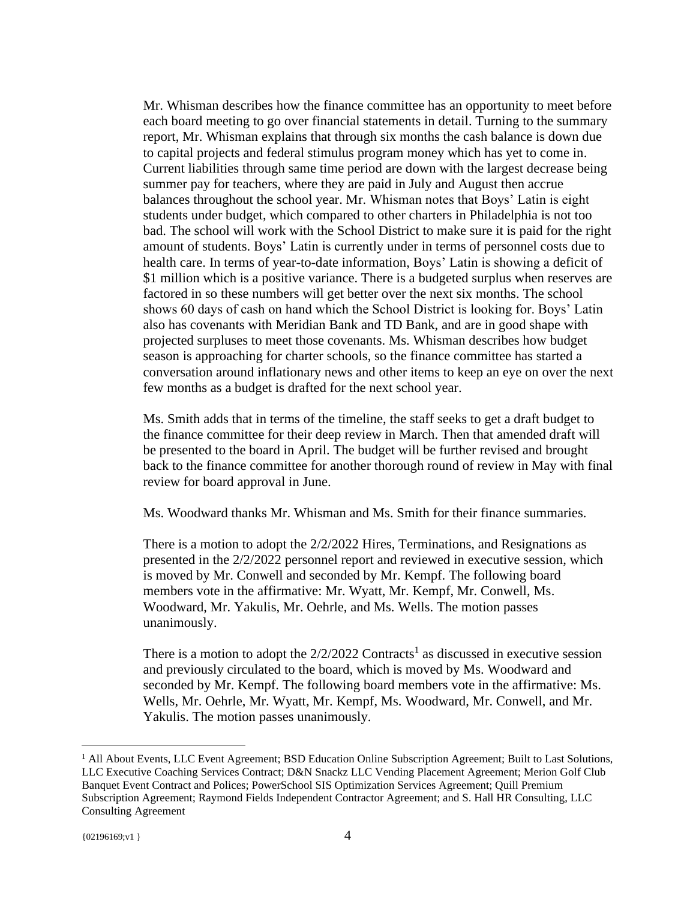Mr. Whisman describes how the finance committee has an opportunity to meet before each board meeting to go over financial statements in detail. Turning to the summary report, Mr. Whisman explains that through six months the cash balance is down due to capital projects and federal stimulus program money which has yet to come in. Current liabilities through same time period are down with the largest decrease being summer pay for teachers, where they are paid in July and August then accrue balances throughout the school year. Mr. Whisman notes that Boys' Latin is eight students under budget, which compared to other charters in Philadelphia is not too bad. The school will work with the School District to make sure it is paid for the right amount of students. Boys' Latin is currently under in terms of personnel costs due to health care. In terms of year-to-date information, Boys' Latin is showing a deficit of \$1 million which is a positive variance. There is a budgeted surplus when reserves are factored in so these numbers will get better over the next six months. The school shows 60 days of cash on hand which the School District is looking for. Boys' Latin also has covenants with Meridian Bank and TD Bank, and are in good shape with projected surpluses to meet those covenants. Ms. Whisman describes how budget season is approaching for charter schools, so the finance committee has started a conversation around inflationary news and other items to keep an eye on over the next few months as a budget is drafted for the next school year.

Ms. Smith adds that in terms of the timeline, the staff seeks to get a draft budget to the finance committee for their deep review in March. Then that amended draft will be presented to the board in April. The budget will be further revised and brought back to the finance committee for another thorough round of review in May with final review for board approval in June.

Ms. Woodward thanks Mr. Whisman and Ms. Smith for their finance summaries.

There is a motion to adopt the 2/2/2022 Hires, Terminations, and Resignations as presented in the 2/2/2022 personnel report and reviewed in executive session, which is moved by Mr. Conwell and seconded by Mr. Kempf. The following board members vote in the affirmative: Mr. Wyatt, Mr. Kempf, Mr. Conwell, Ms. Woodward, Mr. Yakulis, Mr. Oehrle, and Ms. Wells. The motion passes unanimously.

There is a motion to adopt the  $2/2/2022$  Contracts<sup>1</sup> as discussed in executive session and previously circulated to the board, which is moved by Ms. Woodward and seconded by Mr. Kempf. The following board members vote in the affirmative: Ms. Wells, Mr. Oehrle, Mr. Wyatt, Mr. Kempf, Ms. Woodward, Mr. Conwell, and Mr. Yakulis. The motion passes unanimously.

<sup>&</sup>lt;sup>1</sup> All About Events, LLC Event Agreement; BSD Education Online Subscription Agreement; Built to Last Solutions, LLC Executive Coaching Services Contract; D&N Snackz LLC Vending Placement Agreement; Merion Golf Club Banquet Event Contract and Polices; PowerSchool SIS Optimization Services Agreement; Quill Premium Subscription Agreement; Raymond Fields Independent Contractor Agreement; and S. Hall HR Consulting, LLC Consulting Agreement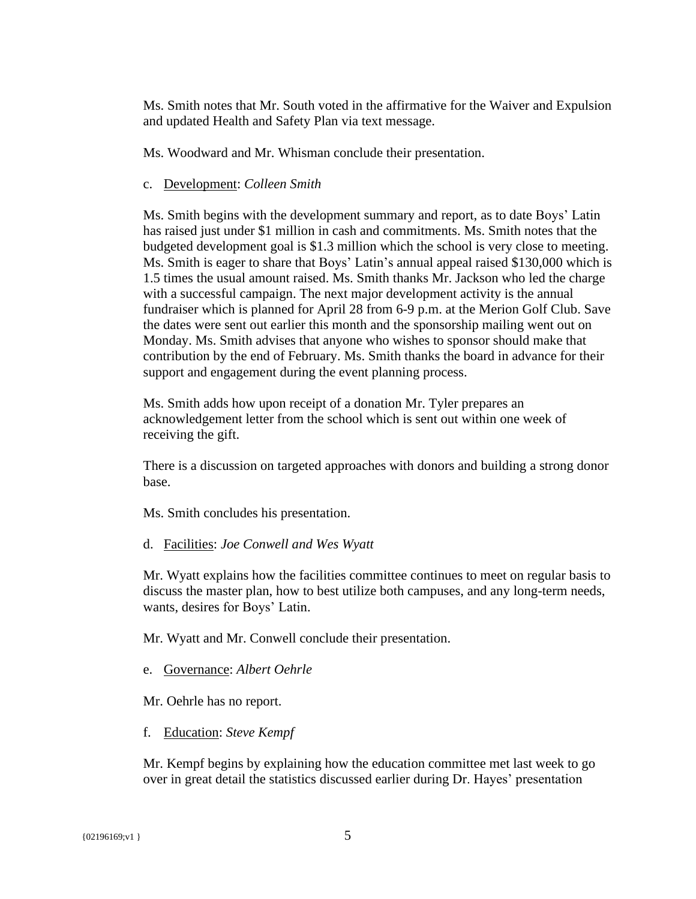Ms. Smith notes that Mr. South voted in the affirmative for the Waiver and Expulsion and updated Health and Safety Plan via text message.

Ms. Woodward and Mr. Whisman conclude their presentation.

#### c. Development: *Colleen Smith*

Ms. Smith begins with the development summary and report, as to date Boys' Latin has raised just under \$1 million in cash and commitments. Ms. Smith notes that the budgeted development goal is \$1.3 million which the school is very close to meeting. Ms. Smith is eager to share that Boys' Latin's annual appeal raised \$130,000 which is 1.5 times the usual amount raised. Ms. Smith thanks Mr. Jackson who led the charge with a successful campaign. The next major development activity is the annual fundraiser which is planned for April 28 from 6-9 p.m. at the Merion Golf Club. Save the dates were sent out earlier this month and the sponsorship mailing went out on Monday. Ms. Smith advises that anyone who wishes to sponsor should make that contribution by the end of February. Ms. Smith thanks the board in advance for their support and engagement during the event planning process.

Ms. Smith adds how upon receipt of a donation Mr. Tyler prepares an acknowledgement letter from the school which is sent out within one week of receiving the gift.

There is a discussion on targeted approaches with donors and building a strong donor base.

Ms. Smith concludes his presentation.

d. Facilities: *Joe Conwell and Wes Wyatt*

Mr. Wyatt explains how the facilities committee continues to meet on regular basis to discuss the master plan, how to best utilize both campuses, and any long-term needs, wants, desires for Boys' Latin.

Mr. Wyatt and Mr. Conwell conclude their presentation.

e. Governance: *Albert Oehrle*

Mr. Oehrle has no report.

f. Education: *Steve Kempf*

Mr. Kempf begins by explaining how the education committee met last week to go over in great detail the statistics discussed earlier during Dr. Hayes' presentation